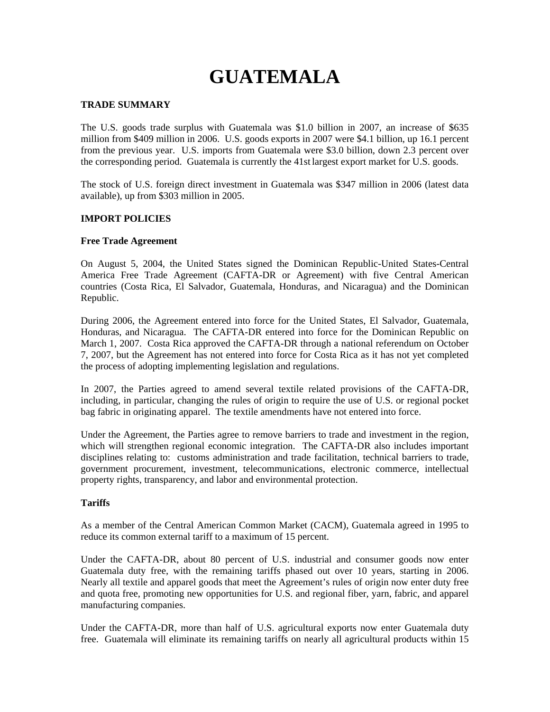# **GUATEMALA**

#### **TRADE SUMMARY**

The U.S. goods trade surplus with Guatemala was \$1.0 billion in 2007, an increase of \$635 million from \$409 million in 2006. U.S. goods exports in 2007 were \$4.1 billion, up 16.1 percent from the previous year. U.S. imports from Guatemala were \$3.0 billion, down 2.3 percent over the corresponding period. Guatemala is currently the 41st largest export market for U.S. goods.

The stock of U.S. foreign direct investment in Guatemala was \$347 million in 2006 (latest data available), up from \$303 million in 2005.

#### **IMPORT POLICIES**

#### **Free Trade Agreement**

On August 5, 2004, the United States signed the Dominican Republic-United States-Central America Free Trade Agreement (CAFTA-DR or Agreement) with five Central American countries (Costa Rica, El Salvador, Guatemala, Honduras, and Nicaragua) and the Dominican Republic.

During 2006, the Agreement entered into force for the United States, El Salvador, Guatemala, Honduras, and Nicaragua. The CAFTA-DR entered into force for the Dominican Republic on March 1, 2007. Costa Rica approved the CAFTA-DR through a national referendum on October 7, 2007, but the Agreement has not entered into force for Costa Rica as it has not yet completed the process of adopting implementing legislation and regulations.

In 2007, the Parties agreed to amend several textile related provisions of the CAFTA-DR, including, in particular, changing the rules of origin to require the use of U.S. or regional pocket bag fabric in originating apparel. The textile amendments have not entered into force.

Under the Agreement, the Parties agree to remove barriers to trade and investment in the region, which will strengthen regional economic integration. The CAFTA-DR also includes important disciplines relating to: customs administration and trade facilitation, technical barriers to trade, government procurement, investment, telecommunications, electronic commerce, intellectual property rights, transparency, and labor and environmental protection.

# **Tariffs**

As a member of the Central American Common Market (CACM), Guatemala agreed in 1995 to reduce its common external tariff to a maximum of 15 percent.

Under the CAFTA-DR, about 80 percent of U.S. industrial and consumer goods now enter Guatemala duty free, with the remaining tariffs phased out over 10 years, starting in 2006. Nearly all textile and apparel goods that meet the Agreement's rules of origin now enter duty free and quota free, promoting new opportunities for U.S. and regional fiber, yarn, fabric, and apparel manufacturing companies.

Under the CAFTA-DR, more than half of U.S. agricultural exports now enter Guatemala duty free. Guatemala will eliminate its remaining tariffs on nearly all agricultural products within 15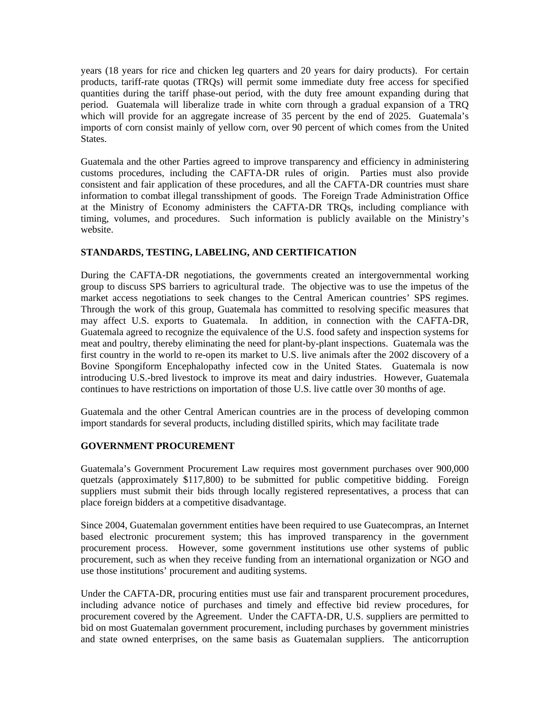years (18 years for rice and chicken leg quarters and 20 years for dairy products). For certain products, tariff-rate quotas (TRQs) will permit some immediate duty free access for specified quantities during the tariff phase-out period, with the duty free amount expanding during that period. Guatemala will liberalize trade in white corn through a gradual expansion of a TRQ which will provide for an aggregate increase of 35 percent by the end of 2025. Guatemala's imports of corn consist mainly of yellow corn, over 90 percent of which comes from the United States.

Guatemala and the other Parties agreed to improve transparency and efficiency in administering customs procedures, including the CAFTA-DR rules of origin. Parties must also provide consistent and fair application of these procedures, and all the CAFTA-DR countries must share information to combat illegal transshipment of goods. The Foreign Trade Administration Office at the Ministry of Economy administers the CAFTA-DR TRQs, including compliance with timing, volumes, and procedures. Such information is publicly available on the Ministry's website.

# **STANDARDS, TESTING, LABELING, AND CERTIFICATION**

During the CAFTA-DR negotiations, the governments created an intergovernmental working group to discuss SPS barriers to agricultural trade. The objective was to use the impetus of the market access negotiations to seek changes to the Central American countries' SPS regimes. Through the work of this group, Guatemala has committed to resolving specific measures that may affect U.S. exports to Guatemala. In addition, in connection with the CAFTA-DR, Guatemala agreed to recognize the equivalence of the U.S. food safety and inspection systems for meat and poultry, thereby eliminating the need for plant-by-plant inspections. Guatemala was the first country in the world to re-open its market to U.S. live animals after the 2002 discovery of a Bovine Spongiform Encephalopathy infected cow in the United States. Guatemala is now introducing U.S.-bred livestock to improve its meat and dairy industries. However, Guatemala continues to have restrictions on importation of those U.S. live cattle over 30 months of age.

Guatemala and the other Central American countries are in the process of developing common import standards for several products, including distilled spirits, which may facilitate trade

# **GOVERNMENT PROCUREMENT**

Guatemala's Government Procurement Law requires most government purchases over 900,000 quetzals (approximately \$117,800) to be submitted for public competitive bidding. Foreign suppliers must submit their bids through locally registered representatives, a process that can place foreign bidders at a competitive disadvantage.

Since 2004, Guatemalan government entities have been required to use Guatecompras, an Internet based electronic procurement system; this has improved transparency in the government procurement process. However, some government institutions use other systems of public procurement, such as when they receive funding from an international organization or NGO and use those institutions' procurement and auditing systems.

Under the CAFTA-DR, procuring entities must use fair and transparent procurement procedures, including advance notice of purchases and timely and effective bid review procedures, for procurement covered by the Agreement. Under the CAFTA-DR, U.S. suppliers are permitted to bid on most Guatemalan government procurement, including purchases by government ministries and state owned enterprises, on the same basis as Guatemalan suppliers. The anticorruption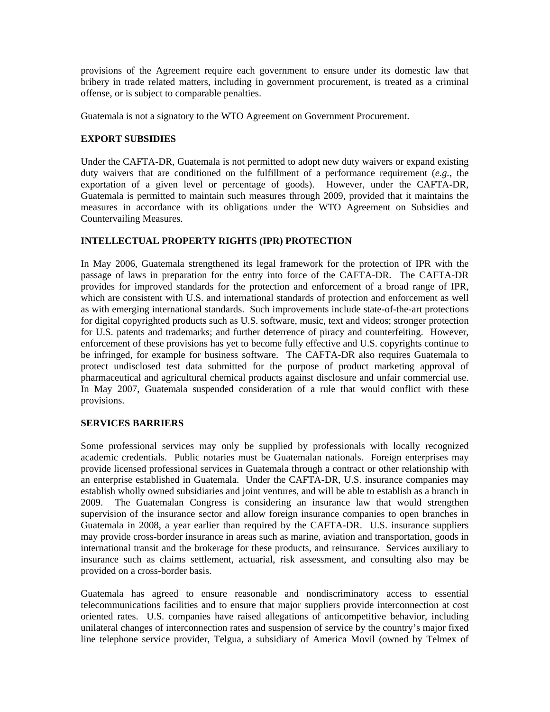provisions of the Agreement require each government to ensure under its domestic law that bribery in trade related matters, including in government procurement, is treated as a criminal offense, or is subject to comparable penalties.

Guatemala is not a signatory to the WTO Agreement on Government Procurement.

# **EXPORT SUBSIDIES**

Under the CAFTA-DR, Guatemala is not permitted to adopt new duty waivers or expand existing duty waivers that are conditioned on the fulfillment of a performance requirement (*e.g.*, the exportation of a given level or percentage of goods). However, under the CAFTA-DR, Guatemala is permitted to maintain such measures through 2009, provided that it maintains the measures in accordance with its obligations under the WTO Agreement on Subsidies and Countervailing Measures.

# **INTELLECTUAL PROPERTY RIGHTS (IPR) PROTECTION**

In May 2006, Guatemala strengthened its legal framework for the protection of IPR with the passage of laws in preparation for the entry into force of the CAFTA-DR. The CAFTA-DR provides for improved standards for the protection and enforcement of a broad range of IPR, which are consistent with U.S. and international standards of protection and enforcement as well as with emerging international standards. Such improvements include state-of-the-art protections for digital copyrighted products such as U.S. software, music, text and videos; stronger protection for U.S. patents and trademarks; and further deterrence of piracy and counterfeiting. However, enforcement of these provisions has yet to become fully effective and U.S. copyrights continue to be infringed, for example for business software. The CAFTA-DR also requires Guatemala to protect undisclosed test data submitted for the purpose of product marketing approval of pharmaceutical and agricultural chemical products against disclosure and unfair commercial use. In May 2007, Guatemala suspended consideration of a rule that would conflict with these provisions.

# **SERVICES BARRIERS**

Some professional services may only be supplied by professionals with locally recognized academic credentials. Public notaries must be Guatemalan nationals. Foreign enterprises may provide licensed professional services in Guatemala through a contract or other relationship with an enterprise established in Guatemala. Under the CAFTA-DR, U.S. insurance companies may establish wholly owned subsidiaries and joint ventures, and will be able to establish as a branch in 2009. The Guatemalan Congress is considering an insurance law that would strengthen supervision of the insurance sector and allow foreign insurance companies to open branches in Guatemala in 2008, a year earlier than required by the CAFTA-DR. U.S. insurance suppliers may provide cross-border insurance in areas such as marine, aviation and transportation, goods in international transit and the brokerage for these products, and reinsurance. Services auxiliary to insurance such as claims settlement, actuarial, risk assessment, and consulting also may be provided on a cross-border basis.

Guatemala has agreed to ensure reasonable and nondiscriminatory access to essential telecommunications facilities and to ensure that major suppliers provide interconnection at cost oriented rates. U.S. companies have raised allegations of anticompetitive behavior, including unilateral changes of interconnection rates and suspension of service by the country's major fixed line telephone service provider, Telgua, a subsidiary of America Movil (owned by Telmex of